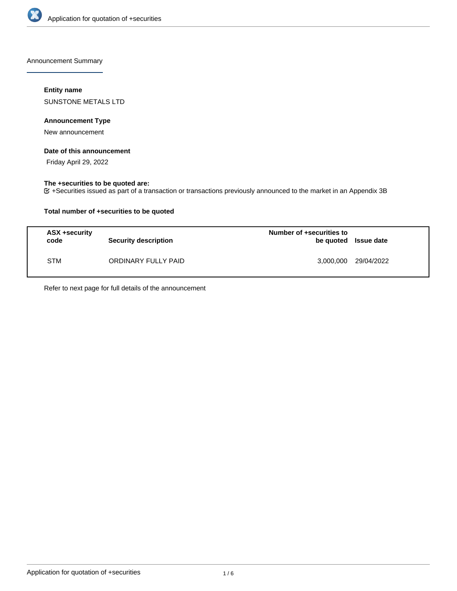

Announcement Summary

## **Entity name**

SUNSTONE METALS LTD

## **Announcement Type**

New announcement

### **Date of this announcement**

Friday April 29, 2022

# **The +securities to be quoted are:**

+Securities issued as part of a transaction or transactions previously announced to the market in an Appendix 3B

## **Total number of +securities to be quoted**

| ASX +security<br>code | <b>Security description</b> | Number of +securities to<br>be quoted Issue date |                      |
|-----------------------|-----------------------------|--------------------------------------------------|----------------------|
| <b>STM</b>            | ORDINARY FULLY PAID         |                                                  | 3,000,000 29/04/2022 |

Refer to next page for full details of the announcement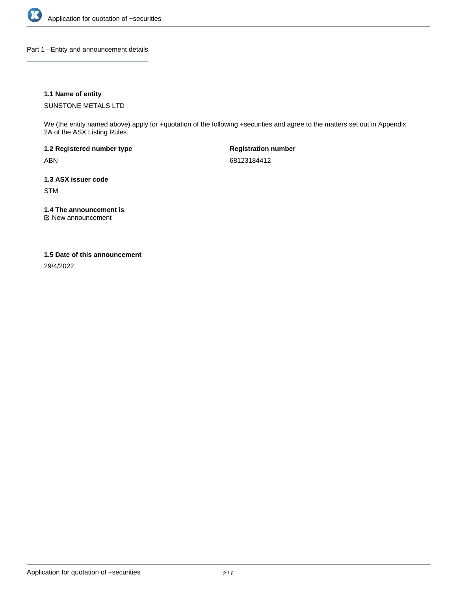

Part 1 - Entity and announcement details

## **1.1 Name of entity**

SUNSTONE METALS LTD

We (the entity named above) apply for +quotation of the following +securities and agree to the matters set out in Appendix 2A of the ASX Listing Rules.

**1.2 Registered number type** ABN

**Registration number** 68123184412

**1.3 ASX issuer code** STM

**1.4 The announcement is**

New announcement

### **1.5 Date of this announcement**

29/4/2022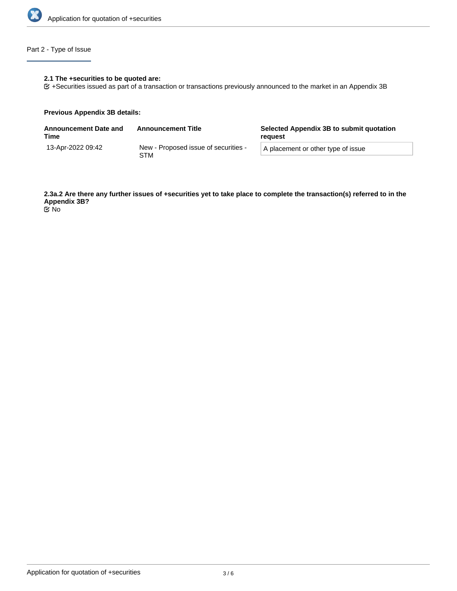

# Part 2 - Type of Issue

## **2.1 The +securities to be quoted are:**

+Securities issued as part of a transaction or transactions previously announced to the market in an Appendix 3B

#### **Previous Appendix 3B details:**

| <b>Announcement Date and</b><br>Time | <b>Announcement Title</b>                   | Selected Appendix 3B to submit quotation<br>reguest |  |
|--------------------------------------|---------------------------------------------|-----------------------------------------------------|--|
| 13-Apr-2022 09:42                    | New - Proposed issue of securities -<br>STM | A placement or other type of issue                  |  |

**2.3a.2 Are there any further issues of +securities yet to take place to complete the transaction(s) referred to in the Appendix 3B?** No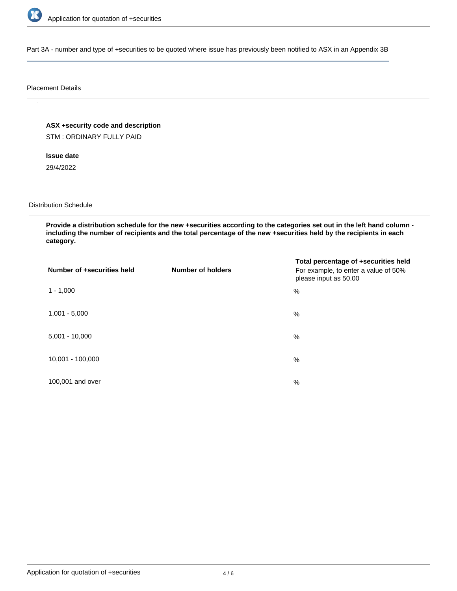

Part 3A - number and type of +securities to be quoted where issue has previously been notified to ASX in an Appendix 3B

### Placement Details

**ASX +security code and description**

STM : ORDINARY FULLY PAID

**Issue date** 29/4/2022

Distribution Schedule

**Provide a distribution schedule for the new +securities according to the categories set out in the left hand column including the number of recipients and the total percentage of the new +securities held by the recipients in each category.**

| Number of +securities held | <b>Number of holders</b> | Total percentage of +securities held<br>For example, to enter a value of 50%<br>please input as 50.00 |
|----------------------------|--------------------------|-------------------------------------------------------------------------------------------------------|
| $1 - 1,000$                |                          | %                                                                                                     |
| $1,001 - 5,000$            |                          | $\%$                                                                                                  |
| $5,001 - 10,000$           |                          | %                                                                                                     |
| 10,001 - 100,000           |                          | $\%$                                                                                                  |
| 100,001 and over           |                          | $\%$                                                                                                  |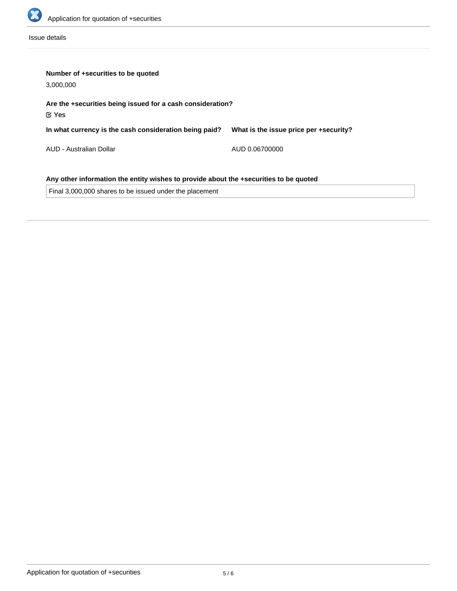

Issue details

| Number of +securities to be quoted<br>3,000,000                                       |                                        |  |  |
|---------------------------------------------------------------------------------------|----------------------------------------|--|--|
| Are the +securities being issued for a cash consideration?<br>$\mathfrak C$ Yes       |                                        |  |  |
| In what currency is the cash consideration being paid?                                | What is the issue price per +security? |  |  |
| AUD - Australian Dollar                                                               | AUD 0.06700000                         |  |  |
| Any other information the entity wishes to provide about the +securities to be quoted |                                        |  |  |
| Final 3,000,000 shares to be issued under the placement                               |                                        |  |  |